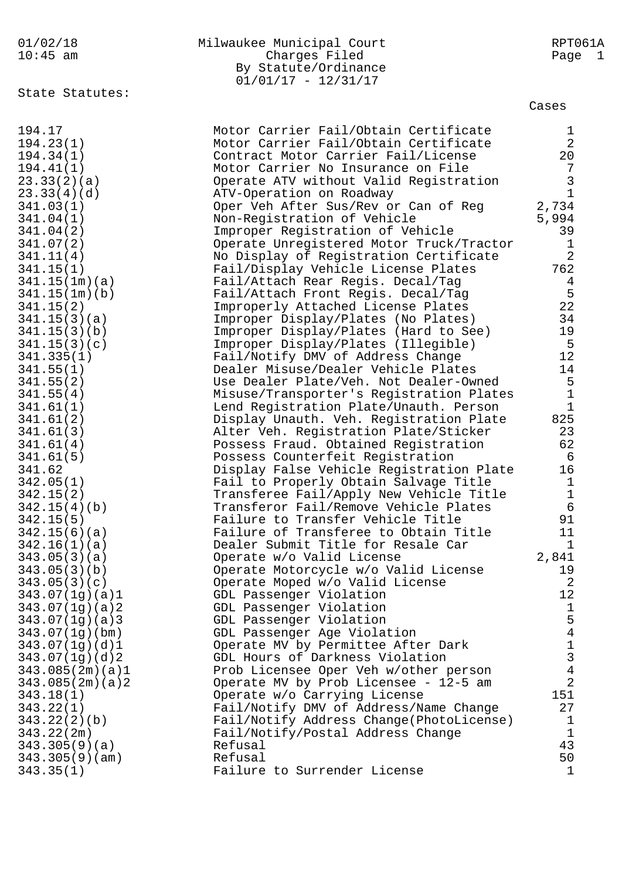| 01/02/18   | Milwaukee Municipal Court | RPT061A |
|------------|---------------------------|---------|
| $10:45$ am | Charges Filed             | Page 1  |
|            | By Statute/Ordinance      |         |
|            | $01/01/17 - 12/31/17$     |         |

### ses

|                 | $01/01/17 - 12/31/17$                    |                |
|-----------------|------------------------------------------|----------------|
| State Statutes: |                                          | Cases          |
|                 |                                          |                |
| 194.17          | Motor Carrier Fail/Obtain Certificate    | $\mathbf 1$    |
| 194.23(1)       | Motor Carrier Fail/Obtain Certificate    | $\overline{2}$ |
| 194.34(1)       | Contract Motor Carrier Fail/License      | 20             |
| 194.41(1)       | Motor Carrier No Insurance on File       | 7              |
| 23.33(2)(a)     | Operate ATV without Valid Registration   | $\mathbf{3}$   |
| 23.33(4)(d)     | ATV-Operation on Roadway                 | $\mathbf{1}$   |
| 341.03(1)       | Oper Veh After Sus/Rev or Can of Reg     | 2,734          |
| 341.04(1)       | Non-Registration of Vehicle              | 5,994          |
| 341.04(2)       | Improper Registration of Vehicle         | 39             |
| 341.07(2)       | Operate Unregistered Motor Truck/Tractor | $\mathbf{1}$   |
| 341.11(4)       | No Display of Registration Certificate   | $\overline{2}$ |
| 341.15(1)       | Fail/Display Vehicle License Plates      | 762            |
| 341.15(1m)(a)   | Fail/Attach Rear Regis. Decal/Tag        | $\overline{4}$ |
| 341.15(1m)(b)   | Fail/Attach Front Regis. Decal/Tag       | 5              |
| 341.15(2)       | Improperly Attached License Plates       | 22             |
| 341.15(3)(a)    | Improper Display/Plates (No Plates)      | 34             |
| 341.15(3)(b)    | Improper Display/Plates (Hard to See)    | 19             |
| 341.15(3)(c)    | Improper Display/Plates (Illegible)      | 5              |
| 341.335(1)      | Fail/Notify DMV of Address Change        | 12             |
| 341.55(1)       | Dealer Misuse/Dealer Vehicle Plates      | 14             |
| 341.55(2)       | Use Dealer Plate/Veh. Not Dealer-Owned   | 5              |
| 341.55(4)       | Misuse/Transporter's Registration Plates | $1\,$          |
|                 |                                          |                |

| 194.34(1)       | Contract Motor Carrier Fail/License      | 20             |
|-----------------|------------------------------------------|----------------|
| 194.41(1)       | Motor Carrier No Insurance on File       | 7              |
| 23.33(2)(a)     | Operate ATV without Valid Registration   | $\overline{3}$ |
| 23.33(4)(d)     | ATV-Operation on Roadway                 | $\mathbf 1$    |
| 341.03(1)       | Oper Veh After Sus/Rev or Can of Reg     | 2,734          |
| 341.04(1)       | Non-Registration of Vehicle              | 5,994          |
| 341.04(2)       | Improper Registration of Vehicle         | 39             |
| 341.07(2)       | Operate Unregistered Motor Truck/Tractor | $\mathbf{1}$   |
| 341.11(4)       | No Display of Registration Certificate   | $\overline{2}$ |
| 341.15(1)       | Fail/Display Vehicle License Plates      | 762            |
| 341.15(1m)(a)   | Fail/Attach Rear Regis. Decal/Tag        | $\overline{4}$ |
| 341.15(1m)(b)   | Fail/Attach Front Regis. Decal/Tag       | 5              |
| 341.15(2)       | Improperly Attached License Plates       | 22             |
| 341.15(3)(a)    | Improper Display/Plates (No Plates)      | 34             |
| 341.15(3)(b)    | Improper Display/Plates (Hard to See)    | 19             |
| 341.15(3)(c)    | Improper Display/Plates (Illegible)      | 5              |
| 341.335(1)      | Fail/Notify DMV of Address Change        | 12             |
| 341.55(1)       | Dealer Misuse/Dealer Vehicle Plates      | 14             |
| 341.55(2)       | Use Dealer Plate/Veh. Not Dealer-Owned   | 5              |
| 341.55(4)       | Misuse/Transporter's Registration Plates | $\mathbf{1}$   |
| 341.61(1)       | Lend Registration Plate/Unauth. Person   | $\mathbf{1}$   |
| 341.61(2)       | Display Unauth. Veh. Registration Plate  | 825            |
| 341.61(3)       | Alter Veh. Registration Plate/Sticker    | 23             |
| 341.61(4)       | Possess Fraud. Obtained Registration     | 62             |
| 341.61(5)       | Possess Counterfeit Registration         | 6              |
| 341.62          | Display False Vehicle Registration Plate | 16             |
| 342.05(1)       | Fail to Properly Obtain Salvage Title    | $\mathbf{1}$   |
| 342.15(2)       | Transferee Fail/Apply New Vehicle Title  | $\mathbf{1}$   |
| 342.15(4)(b)    | Transferor Fail/Remove Vehicle Plates    | $\sigma$       |
| 342.15(5)       | Failure to Transfer Vehicle Title        | 91             |
| 342.15(6)(a)    | Failure of Transferee to Obtain Title    | 11             |
| 342.16(1)(a)    | Dealer Submit Title for Resale Car       | $\mathbf 1$    |
| 343.05(3)(a)    | Operate w/o Valid License                | 2,841          |
| 343.05(3)(b)    | Operate Motorcycle w/o Valid License     | 19             |
| 343.05(3)(c)    | Operate Moped w/o Valid License          | 2              |
| 343.07(1g)(a)1  | GDL Passenger Violation                  | 12             |
| 343.07(1g)(a)2  | GDL Passenger Violation                  | $\mathbf{1}$   |
| 343.07(1g)(a)3  | GDL Passenger Violation                  | 5              |
| 343.07(1g)(bm)  | GDL Passenger Age Violation              | $\overline{4}$ |
| 343.07(1g)(d)1  | Operate MV by Permittee After Dark       | $\mathbf{1}$   |
| 343.07(1g)(d)2  | GDL Hours of Darkness Violation          | 3              |
| 343.085(2m)(a)1 | Prob Licensee Oper Veh w/other person    | $\overline{4}$ |
| 343.085(2m)(a)2 | Operate MV by Prob Licensee - 12-5 am    | $\overline{2}$ |
| 343.18(1)       | Operate w/o Carrying License             | 151            |
| 343.22(1)       | Fail/Notify DMV of Address/Name Change   | 27             |
| 343.22(2)(b)    | Fail/Notify Address Change(PhotoLicense) | 1              |
| 343.22(2m)      | Fail/Notify/Postal Address Change        | $\mathbf 1$    |
| 343.305(9)(a)   | Refusal                                  | 43             |
| 343.305(9)(am)  | Refusal                                  | 50             |
| 343.35(1)       | Failure to Surrender License             | 1              |
|                 |                                          |                |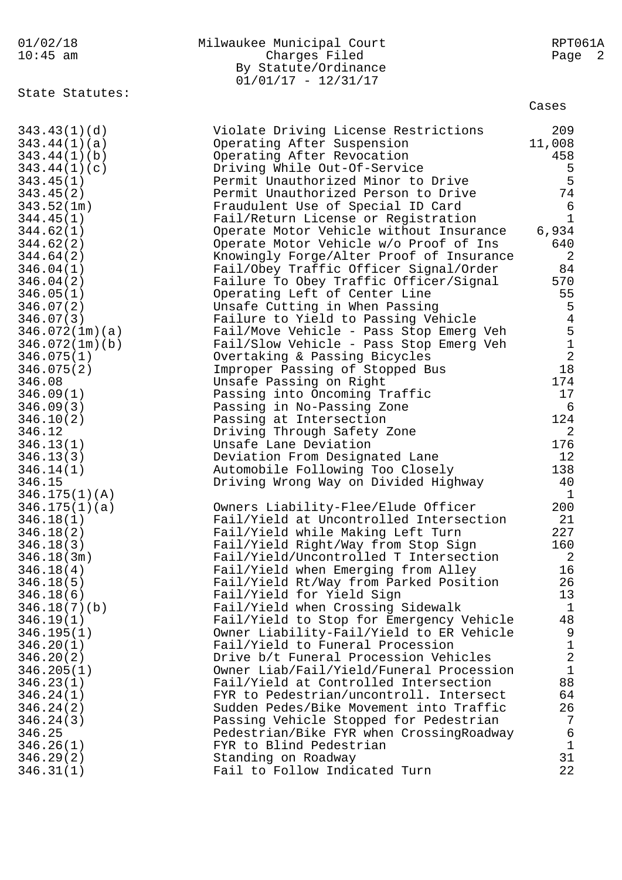| 01/02/18<br>$10:45$ am                                                                                                                                                                                                                                                                                | Milwaukee Municipal Court<br>Charges Filed<br>By Statute/Ordinance<br>$01/01/17 - 12/31/17$                                                                                                                                                                                                                                                                                                                                                                                                                                                                                                                                                                                                                                                                                                                                                     | RPT061A<br>Page 2                                                                                                                                                                      |
|-------------------------------------------------------------------------------------------------------------------------------------------------------------------------------------------------------------------------------------------------------------------------------------------------------|-------------------------------------------------------------------------------------------------------------------------------------------------------------------------------------------------------------------------------------------------------------------------------------------------------------------------------------------------------------------------------------------------------------------------------------------------------------------------------------------------------------------------------------------------------------------------------------------------------------------------------------------------------------------------------------------------------------------------------------------------------------------------------------------------------------------------------------------------|----------------------------------------------------------------------------------------------------------------------------------------------------------------------------------------|
| State Statutes:                                                                                                                                                                                                                                                                                       |                                                                                                                                                                                                                                                                                                                                                                                                                                                                                                                                                                                                                                                                                                                                                                                                                                                 | Cases                                                                                                                                                                                  |
| 343.43(1)(d)<br>343.44(1)(a)<br>343.44(1)(b)<br>343.44(1)(c)<br>343.45(1)<br>343.45(2)<br>343.52(1m)<br>344.45(1)<br>344.62(1)<br>344.62(2)<br>344.64(2)<br>346.04(1)<br>346.04(2)<br>346.05(1)<br>346.07(2)<br>346.07(3)<br>346.072(1m)(a)                                                           | Violate Driving License Restrictions<br>Operating After Suspension<br>Operating After Revocation<br>Driving While Out-Of-Service<br>Permit Unauthorized Minor to Drive<br>Permit Unauthorized Person to Drive<br>Fraudulent Use of Special ID Card<br>Fail/Return License or Registration<br>Operate Motor Vehicle without Insurance<br>Operate Motor Vehicle w/o Proof of Ins<br>Knowingly Forge/Alter Proof of Insurance<br>Fail/Obey Traffic Officer Signal/Order<br>Failure To Obey Traffic Officer/Signal<br>Operating Left of Center Line<br>Unsafe Cutting in When Passing<br>Failure to Yield to Passing Vehicle<br>Fail/Move Vehicle - Pass Stop Emerg Veh                                                                                                                                                                             | 209<br>11,008<br>458<br>5<br>5<br>74<br>$\epsilon$<br>$\mathbf{1}$<br>6,934<br>640<br>2<br>84<br>570<br>55<br>5<br>$\overline{4}$<br>$\overline{5}$<br>$1$                             |
| 346.072(1m)(b)<br>346.075(1)<br>346.075(2)<br>346.08<br>346.09(1)<br>346.09(3)<br>346.10(2)<br>346.12<br>346.13(1)<br>346.13(3)<br>346.14(1)<br>346.15                                                                                                                                                | Fail/Slow Vehicle - Pass Stop Emerg Veh<br>Overtaking & Passing Bicycles<br>Improper Passing of Stopped Bus<br>Unsafe Passing on Right<br>Passing into Oncoming Traffic<br>Passing in No-Passing Zone<br>Passing at Intersection<br>Driving Through Safety Zone<br>Unsafe Lane Deviation<br>Deviation From Designated Lane<br>Automobile Following Too Closely<br>Driving Wrong Way on Divided Highway                                                                                                                                                                                                                                                                                                                                                                                                                                          | $\overline{2}$<br>18<br>174<br>17<br>6<br>124<br>$\overline{2}$<br>176<br>12<br>138<br>40<br>1                                                                                         |
| 346.175(1)(A)<br>346.175(1)(a)<br>346.18(1)<br>346.18(2)<br>346.18(3)<br>346.18(3m)<br>346.18(4)<br>346.18(5)<br>346.18(6)<br>346.18(7)(b)<br>346.19(1)<br>346.195(1)<br>346.20(1)<br>346.20(2)<br>346.205(1)<br>346.23(1)<br>346.24(1)<br>346.24(2)<br>346.24(3)<br>346.25<br>346.26(1)<br>346.29(2) | Owners Liability-Flee/Elude Officer<br>Fail/Yield at Uncontrolled Intersection<br>Fail/Yield while Making Left Turn<br>Fail/Yield Right/Way from Stop Sign<br>Fail/Yield/Uncontrolled T Intersection<br>Fail/Yield when Emerging from Alley<br>Fail/Yield Rt/Way from Parked Position<br>Fail/Yield for Yield Sign<br>Fail/Yield when Crossing Sidewalk<br>Fail/Yield to Stop for Emergency Vehicle<br>Owner Liability-Fail/Yield to ER Vehicle<br>Fail/Yield to Funeral Procession<br>Drive b/t Funeral Procession Vehicles<br>Owner Liab/Fail/Yield/Funeral Procession<br>Fail/Yield at Controlled Intersection<br>FYR to Pedestrian/uncontroll. Intersect<br>Sudden Pedes/Bike Movement into Traffic<br>Passing Vehicle Stopped for Pedestrian<br>Pedestrian/Bike FYR when CrossingRoadway<br>FYR to Blind Pedestrian<br>Standing on Roadway | 200<br>21<br>227<br>160<br>2<br>16<br>26<br>13<br>$\mathbf{1}$<br>48<br>9<br>$\mathbf{1}$<br>$\overline{a}$<br>$\mathbf{1}$<br>88<br>64<br>26<br>7<br>$\epsilon$<br>$\mathbf{1}$<br>31 |
| 346.31(1)                                                                                                                                                                                                                                                                                             | Fail to Follow Indicated Turn                                                                                                                                                                                                                                                                                                                                                                                                                                                                                                                                                                                                                                                                                                                                                                                                                   | 22                                                                                                                                                                                     |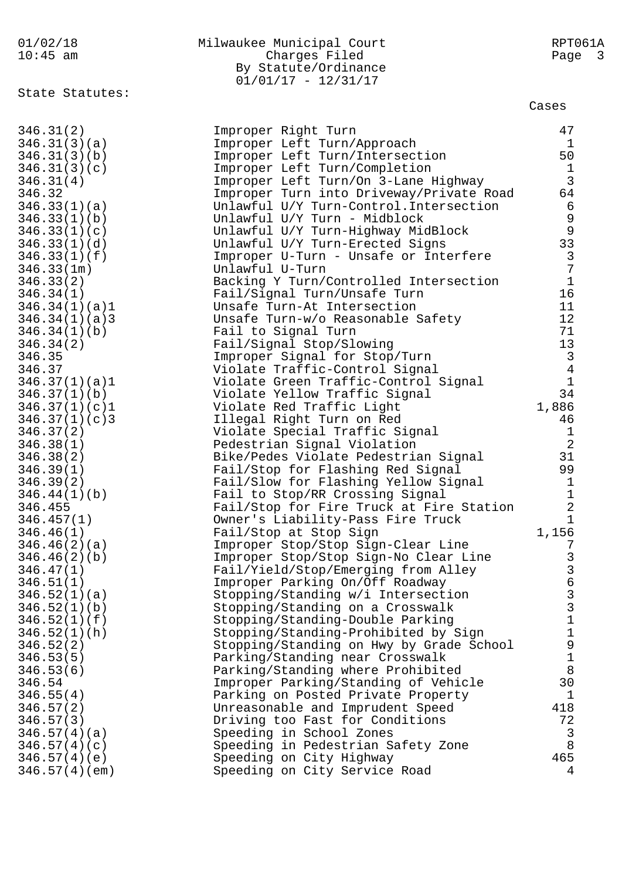### 01/02/18 Milwaukee Municipal Court RPT061A 10:45 am Charges Filed Page 3 By Statute/Ordinance 01/01/17 - 12/31/17

State Statutes:

### Cases

| 346.31(2)     | Improper Right Turn                      | 47                                    |
|---------------|------------------------------------------|---------------------------------------|
| 346.31(3)(a)  | Improper Left Turn/Approach              | $\mathbf{1}$                          |
| 346.31(3)(b)  | Improper Left Turn/Intersection          | 50                                    |
| 346.31(3)(c)  | Improper Left Turn/Completion            | $\mathbf{1}$                          |
| 346.31(4)     | Improper Left Turn/On 3-Lane Highway     | $\mathbf{3}$                          |
| 346.32        | Improper Turn into Driveway/Private Road | 64                                    |
| 346.33(1)(a)  | Unlawful U/Y Turn-Control. Intersection  | $6\overline{6}$                       |
| 346.33(1)(b)  | Unlawful U/Y Turn - Midblock             | $\mathsf 9$                           |
| 346.33(1)(c)  | Unlawful U/Y Turn-Highway MidBlock       | $\overline{9}$                        |
| 346.33(1)(d)  | Unlawful U/Y Turn-Erected Signs          | 33                                    |
| 346.33(1)(f)  | Improper U-Turn - Unsafe or Interfere    | $\mathbf{3}$                          |
| 346.33(1m)    | Unlawful U-Turn                          | $7\phantom{.0}$                       |
| 346.33(2)     | Backing Y Turn/Controlled Intersection   | $\mathbf{1}$                          |
| 346.34(1)     | Fail/Signal Turn/Unsafe Turn             | 16                                    |
| 346.34(1)(a)1 | Unsafe Turn-At Intersection              | 11                                    |
| 346.34(1)(a)3 | Unsafe Turn-w/o Reasonable Safety        | 12                                    |
| 346.34(1)(b)  | Fail to Signal Turn                      | 71                                    |
| 346.34(2)     | Fail/Signal Stop/Slowing                 | 13                                    |
| 346.35        | Improper Signal for Stop/Turn            | $\mathbf{3}$                          |
| 346.37        | Violate Traffic-Control Signal           | $\overline{4}$                        |
| 346.37(1)(a)1 | Violate Green Traffic-Control Signal     | $\mathbf{1}$                          |
| 346.37(1)(b)  | Violate Yellow Traffic Signal            | 34                                    |
| 346.37(1)(c)1 | Violate Red Traffic Light                | 1,886                                 |
| 346.37(1)(c)3 | Illegal Right Turn on Red                | 46                                    |
| 346.37(2)     | Violate Special Traffic Signal           | $\mathbf{1}$                          |
| 346.38(1)     | Pedestrian Signal Violation              | $\overline{2}$                        |
| 346.38(2)     | Bike/Pedes Violate Pedestrian Signal     | 31                                    |
| 346.39(1)     | Fail/Stop for Flashing Red Signal        | 99                                    |
| 346.39(2)     | Fail/Slow for Flashing Yellow Signal     | $\mathbf{1}$                          |
| 346.44(1)(b)  | Fail to Stop/RR Crossing Signal          | $1\,$                                 |
| 346.455       | Fail/Stop for Fire Truck at Fire Station | $\overline{2}$                        |
| 346.457(1)    | Owner's Liability-Pass Fire Truck        | $\mathbf 1$                           |
| 346.46(1)     | Fail/Stop at Stop Sign                   | 1,156                                 |
| 346.46(2)(a)  | Improper Stop/Stop Sign-Clear Line       | 7                                     |
| 346.46(2)(b)  | Improper Stop/Stop Sign-No Clear Line    | $\mathsf{3}$                          |
| 346.47(1)     | Fail/Yield/Stop/Emerging from Alley      | $\overline{3}$                        |
| 346.51(1)     | Improper Parking On/Off Roadway          | $\epsilon$                            |
| 346.52(1)(a)  | Stopping/Standing w/i Intersection       | $\mathsf{3}$                          |
| 346.52(1)(b)  | Stopping/Standing on a Crosswalk         | $\mathbf{3}$                          |
| 346.52(1)(f)  | Stopping/Standing-Double Parking         | $\mathbf 1$                           |
| 346.52(1)(h)  | Stopping/Standing-Prohibited by Sign     | $\begin{array}{c} 1 \\ 9 \end{array}$ |
| 346.52(2)     | Stopping/Standing on Hwy by Grade School |                                       |
| 346.53(5)     | Parking/Standing near Crosswalk          | $\mathbf 1$                           |
| 346.53(6)     | Parking/Standing where Prohibited        | $8\,$                                 |
| 346.54        | Improper Parking/Standing of Vehicle     | 30                                    |
| 346.55(4)     | Parking on Posted Private Property       | $\mathbf{1}$                          |
| 346.57(2)     | Unreasonable and Imprudent Speed         | 418                                   |
| 346.57(3)     | Driving too Fast for Conditions          | 72                                    |
| 346.57(4)(a)  | Speeding in School Zones                 | 3                                     |
| 346.57(4)(c)  | Speeding in Pedestrian Safety Zone       | $\,8\,$                               |
| 346.57(4)(e)  | Speeding on City Highway                 | 465                                   |
| 346.57(4)(em) | Speeding on City Service Road            | 4                                     |
|               |                                          |                                       |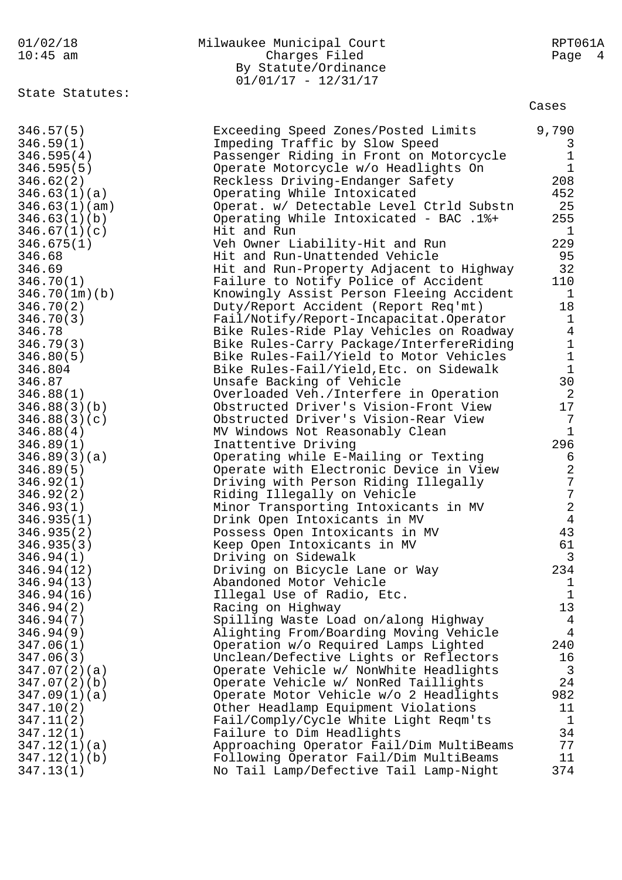| 01/02/18<br>$10:45$ am | Milwaukee Municipal Court<br>Charges Filed<br>By Statute/Ordinance<br>$01/01/17 - 12/31/17$ | RPT061A<br>Page 4          |
|------------------------|---------------------------------------------------------------------------------------------|----------------------------|
| State Statutes:        |                                                                                             | Cases                      |
| 346.57(5)              | Exceeding Speed Zones/Posted Limits                                                         | 9,790                      |
| 346.59(1)              | Impeding Traffic by Slow Speed                                                              | 3                          |
| 346.595(4)             | Passenger Riding in Front on Motorcycle                                                     | $1\,$                      |
| 346.595(5)             | Operate Motorcycle w/o Headlights On                                                        | $1\,$                      |
| 346.62(2)              | Reckless Driving-Endanger Safety                                                            | 208                        |
| 346.63(1)(a)           | Operating While Intoxicated                                                                 | 452                        |
| 346.63(1)(am)          | Operat. w/ Detectable Level Ctrld Substn                                                    | 25                         |
| 346.63(1)(b)           | Operating While Intoxicated - BAC .1%+                                                      | 255                        |
| 346.67(1)(c)           | Hit and Run                                                                                 | $\mathbf 1$                |
| 346.675(1)             | Veh Owner Liability-Hit and Run                                                             | 229                        |
| 346.68                 | Hit and Run-Unattended Vehicle                                                              | 95                         |
| 346.69                 | Hit and Run-Property Adjacent to Highway                                                    | 32                         |
| 346.70(1)              | Failure to Notify Police of Accident                                                        | 110                        |
| 346.70(1m)(b)          | Knowingly Assist Person Fleeing Accident                                                    | $\mathbf{1}$               |
| 346.70(2)              | Duty/Report Accident (Report Req'mt)                                                        | 18                         |
| 346.70(3)              | Fail/Notify/Report-Incapacitat.Operator                                                     | $\mathbf{1}$               |
| 346.78                 | Bike Rules-Ride Play Vehicles on Roadway                                                    | $\bf 4$                    |
| 346.79(3)              | Bike Rules-Carry Package/InterfereRiding                                                    | $\mathbf 1$                |
| 346.80(5)              | Bike Rules-Fail/Yield to Motor Vehicles                                                     | $\ensuremath{\mathbbm{1}}$ |
| 346.804                | Bike Rules-Fail/Yield, Etc. on Sidewalk                                                     | $\mathbf{1}$               |
| 346.87                 | Unsafe Backing of Vehicle                                                                   | 30                         |
| 346.88(1)              | Overloaded Veh./Interfere in Operation                                                      | $\overline{2}$             |
| 346.88(3)(b)           | Obstructed Driver's Vision-Front View                                                       | 17                         |
| 346.88(3)(c)           | Obstructed Driver's Vision-Rear View                                                        | 7                          |
| 346.88(4)              | MV Windows Not Reasonably Clean                                                             | $\mathbf{1}$               |
| 346.89(1)              | Inattentive Driving                                                                         | 296                        |
| 346.89(3)(a)           | Operating while E-Mailing or Texting                                                        | 6                          |
| 346.89(5)              | Operate with Electronic Device in View                                                      | $\sqrt{2}$                 |
| 346.92(1)              | Driving with Person Riding Illegally                                                        | $\boldsymbol{7}$           |
| 346.92(2)              | Riding Illegally on Vehicle                                                                 | 7                          |
| 346.93(1)              | Minor Transporting Intoxicants in MV                                                        | 2                          |
| 346.935(1)             | Drink Open Intoxicants in MV                                                                | $\overline{4}$             |
| 346.935(2)             | Possess Open Intoxicants in MV                                                              | 43                         |
| 346.935(3)             | Keep Open Intoxicants in MV                                                                 | 61                         |
| 346.94(1)              | Driving on Sidewalk                                                                         | 3                          |
| 346.94(12)             | Driving on Bicycle Lane or Way                                                              | 234                        |
| 346.94(13)             | Abandoned Motor Vehicle                                                                     | $\mathbf{1}$               |
| 346.94(16)             | Illegal Use of Radio, Etc.                                                                  | $\mathbf{1}$               |
| 346.94(2)              | Racing on Highway                                                                           | 13                         |
| 346.94(7)              | Spilling Waste Load on/along Highway                                                        | 4                          |
| 346.94(9)              | Alighting From/Boarding Moving Vehicle                                                      | $\overline{4}$             |
| 347.06(1)              | Operation w/o Required Lamps Lighted                                                        | 240                        |
| 347.06(3)              | Unclean/Defective Lights or Reflectors                                                      | 16                         |
| 347.07(2)(a)           | Operate Vehicle w/ NonWhite Headlights                                                      | 3                          |
| 347.07(2)(b)           | Operate Vehicle w/ NonRed Taillights                                                        | 24                         |
| 347.09(1)(a)           | Operate Motor Vehicle w/o 2 Headlights                                                      | 982                        |
| 347.10(2)              | Other Headlamp Equipment Violations                                                         | 11                         |
| 347.11(2)              | Fail/Comply/Cycle White Light Reqm'ts                                                       | $\mathbf 1$                |
| 347.12(1)              | Failure to Dim Headlights                                                                   | 34                         |
| 347.12(1)(a)           | Approaching Operator Fail/Dim MultiBeams                                                    | 77                         |
| 347.12(1)(b)           | Following Operator Fail/Dim MultiBeams                                                      | 11                         |
| 347.13(1)              | No Tail Lamp/Defective Tail Lamp-Night                                                      | 374                        |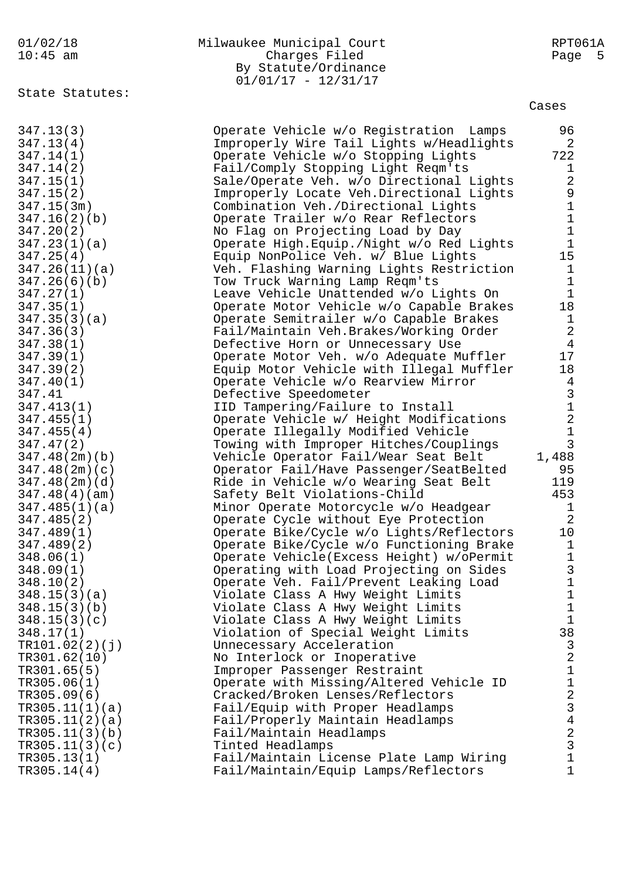| 01/02/18 | Milwaukee Municipal Court | RPT061A |
|----------|---------------------------|---------|
| 10:45 am | Charges Filed             | Page 5  |
|          | By Statute/Ordinance      |         |
|          | $01/01/17 - 12/31/17$     |         |

State Statutes:

#### Cases

| 347.13(3)      | Operate Vehicle w/o Registration Lamps      | 96                                         |
|----------------|---------------------------------------------|--------------------------------------------|
| 347.13(4)      | Improperly Wire Tail Lights w/Headlights    | 2                                          |
| 347.14(1)      | Operate Vehicle w/o Stopping Lights         | 722                                        |
| 347.14(2)      | Fail/Comply Stopping Light Reqm'ts          | $\mathbf{1}$                               |
| 347.15(1)      | Sale/Operate Veh. w/o Directional Lights    | $\overline{2}$                             |
| 347.15(2)      | Improperly Locate Veh. Directional Lights   | $\begin{array}{c} 9 \\ 1 \end{array}$      |
| 347.15(3m)     | Combination Veh./Directional Lights         |                                            |
| 347.16(2)(b)   | Operate Trailer w/o Rear Reflectors         | $\mathbf 1$                                |
| 347.20(2)      | No Flag on Projecting Load by Day           | $\mathbf 1$                                |
| 347.23(1)(a)   | Operate High. Equip. / Night w/o Red Lights | $1\,$                                      |
| 347.25(4)      | Equip NonPolice Veh. w/ Blue Lights         | 15                                         |
| 347.26(11)(a)  | Veh. Flashing Warning Lights Restriction    | $\mathbf{1}$                               |
| 347.26(6)(b)   | Tow Truck Warning Lamp Reqm'ts              | $\mathbf 1$                                |
| 347.27(1)      | Leave Vehicle Unattended w/o Lights On      | $\mathbf{1}$                               |
| 347.35(1)      | Operate Motor Vehicle w/o Capable Brakes    | 18                                         |
| 347.35(3)(a)   | Operate Semitrailer w/o Capable Brakes      | $\mathbf 1$                                |
| 347.36(3)      | Fail/Maintain Veh.Brakes/Working Order      | $\overline{2}$                             |
| 347.38(1)      | Defective Horn or Unnecessary Use           | $\overline{4}$                             |
| 347.39(1)      | Operate Motor Veh. w/o Adequate Muffler     | 17                                         |
| 347.39(2)      | Equip Motor Vehicle with Illegal Muffler    | 18                                         |
| 347.40(1)      | Operate Vehicle w/o Rearview Mirror         | $\overline{4}$                             |
| 347.41         | Defective Speedometer                       |                                            |
| 347.413(1)     | IID Tampering/Failure to Install            |                                            |
| 347.455(1)     | Operate Vehicle w/ Height Modifications     | $\begin{array}{c} 3 \\ 1 \\ 2 \end{array}$ |
| 347.455(4)     | Operate Illegally Modified Vehicle          | $\mathbf 1$                                |
| 347.47(2)      | Towing with Improper Hitches/Couplings      | $\overline{3}$                             |
| 347.48(2m)(b)  | Vehicle Operator Fail/Wear Seat Belt        | 1,488                                      |
| 347.48(2m)(c)  | Operator Fail/Have Passenger/SeatBelted     | 95                                         |
| 347.48(2m)(d)  |                                             | 119                                        |
|                | Ride in Vehicle w/o Wearing Seat Belt       | 453                                        |
| 347.48(4)(am)  | Safety Belt Violations-Child                |                                            |
| 347.485(1)(a)  | Minor Operate Motorcycle w/o Headgear       | $\mathbf 1$<br>$\overline{2}$              |
| 347.485(2)     | Operate Cycle without Eye Protection        | 10                                         |
| 347.489(1)     | Operate Bike/Cycle w/o Lights/Reflectors    |                                            |
| 347.489(2)     | Operate Bike/Cycle w/o Functioning Brake    | $\mathbf 1$<br>$\mathbf 1$                 |
| 348.06(1)      | Operate Vehicle(Excess Height) w/oPermit    |                                            |
| 348.09(1)      | Operating with Load Projecting on Sides     | $\mathbf{3}$<br>$\mathbf 1$                |
| 348.10(2)      | Operate Veh. Fail/Prevent Leaking Load      |                                            |
| 348.15(3)(a)   | Violate Class A Hwy Weight Limits           | Ŧ                                          |
| 348.15(3)(b)   | Violate Class A Hwy Weight Limits           | $\mathbf 1$<br>$1\,$                       |
| 348.15(3)(c)   | Violate Class A Hwy Weight Limits           | 38                                         |
| 348.17(1)      | Violation of Special Weight Limits          |                                            |
| TR101.02(2)(j) | Unnecessary Acceleration                    | $\mathsf{3}$<br>$\overline{a}$             |
| TR301.62(10)   | No Interlock or Inoperative                 |                                            |
| TR301.65(5)    | Improper Passenger Restraint                | $\mathbf 1$                                |
| TR305.06(1)    | Operate with Missing/Altered Vehicle ID     | $\mathbf 1$                                |
| TR305.09(6)    | Cracked/Broken Lenses/Reflectors            | $\overline{a}$                             |
| TR305.11(1)(a) | Fail/Equip with Proper Headlamps            | $\frac{1}{3}$                              |
| TR305.11(2)(a) | Fail/Properly Maintain Headlamps            |                                            |
| TR305.11(3)(b) | Fail/Maintain Headlamps                     | $\overline{a}$                             |
| TR305.11(3)(c) | Tinted Headlamps                            | $\overline{3}$                             |
| TR305.13(1)    | Fail/Maintain License Plate Lamp Wiring     | $\mathbf{1}$                               |
| TR305.14(4)    | Fail/Maintain/Equip Lamps/Reflectors        | $\mathbf{1}$                               |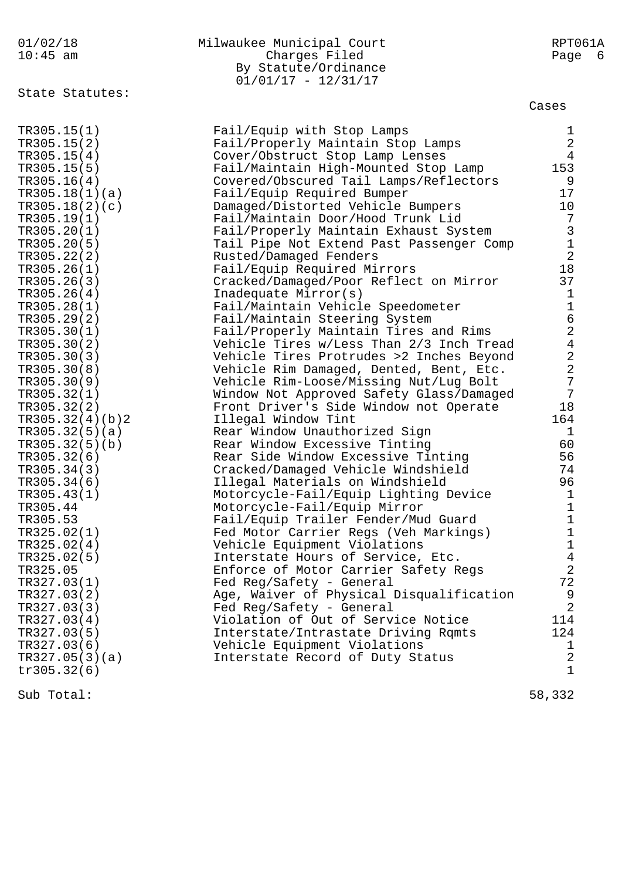| 01/02/18<br>$10:45$ am     | Milwaukee Municipal Court<br>Charges Filed<br>By Statute/Ordinance<br>$01/01/17 - 12/31/17$ | RPT061A<br>Page<br>- 6                          |
|----------------------------|---------------------------------------------------------------------------------------------|-------------------------------------------------|
| State Statutes:            |                                                                                             | Cases                                           |
| TR305.15(1)<br>TR305.15(2) | Fail/Equip with Stop Lamps                                                                  | 1<br>2                                          |
| TR305.15(4)                | Fail/Properly Maintain Stop Lamps<br>Cover/Obstruct Stop Lamp Lenses                        | $\overline{4}$                                  |
| TR305.15(5)                | Fail/Maintain High-Mounted Stop Lamp                                                        | 153                                             |
| TR305.16(4)                | Covered/Obscured Tail Lamps/Reflectors                                                      | 9                                               |
| TR305.18(1)(a)             | Fail/Equip Required Bumper                                                                  | 17                                              |
| TR305.18(2)(c)             | Damaged/Distorted Vehicle Bumpers                                                           | 10                                              |
| TR305.19(1)                | Fail/Maintain Door/Hood Trunk Lid                                                           |                                                 |
| TR305.20(1)                | Fail/Properly Maintain Exhaust System                                                       |                                                 |
| TR305.20(5)                | Tail Pipe Not Extend Past Passenger Comp                                                    |                                                 |
| TR305.22(2)                | Rusted/Damaged Fenders                                                                      | $\begin{array}{c} 7 \\ 3 \\ 1 \\ 2 \end{array}$ |
| TR305.26(1)                | Fail/Equip Required Mirrors                                                                 | 18                                              |
| TR305.26(3)                | Cracked/Damaged/Poor Reflect on Mirror                                                      | 37                                              |
| TR305.26(4)                | Inadequate Mirror(s)                                                                        | 1                                               |
| TR305.28(1)                | Fail/Maintain Vehicle Speedometer                                                           | $\mathbf 1$                                     |
| TR305.29(2)                | Fail/Maintain Steering System                                                               | 6                                               |
| TR305.30(1)                | Fail/Properly Maintain Tires and Rims                                                       | $\overline{a}$                                  |
| TR305.30(2)                | Vehicle Tires w/Less Than 2/3 Inch Tread                                                    | $\overline{4}$                                  |
| TR305.30(3)                | Vehicle Tires Protrudes >2 Inches Beyond                                                    | $\overline{a}$                                  |
| TR305.30(8)                | Vehicle Rim Damaged, Dented, Bent, Etc.                                                     | $\overline{a}$                                  |
| TR305.30(9)                | Vehicle Rim-Loose/Missing Nut/Lug Bolt                                                      | $\overline{7}$                                  |
| TR305.32(1)                | Window Not Approved Safety Glass/Damaged                                                    | $\boldsymbol{7}$                                |
| TR305.32(2)                | Front Driver's Side Window not Operate                                                      | 18                                              |
| TR305.32(4)(b)2            | Illegal Window Tint                                                                         | 164                                             |
| TR305.32(5)(a)             | Rear Window Unauthorized Sign                                                               | 1                                               |
| TR305.32(5)(b)             | Rear Window Excessive Tinting                                                               | 60                                              |
| TR305.32(6)                | Rear Side Window Excessive Tinting                                                          | 56                                              |
| TR305.34(3)                | Cracked/Damaged Vehicle Windshield                                                          | 74                                              |
| TR305.34(6)                | Illegal Materials on Windshield                                                             | 96                                              |
| TR305.43(1)                | Motorcycle-Fail/Equip Lighting Device                                                       | 1                                               |
| TR305.44                   | Motorcycle-Fail/Equip Mirror                                                                | 1                                               |
| TR305.53                   | Fail/Equip Trailer Fender/Mud Guard                                                         | 1                                               |
| TR325.02(1)                | Fed Motor Carrier Regs (Veh Markings)                                                       | $\mathbf 1$                                     |
| TR325.02(4)                | Vehicle Equipment Violations                                                                | $\mathbf 1$                                     |
| TR325.02(5)                | Interstate Hours of Service, Etc.                                                           | 4                                               |
| TR325.05                   | Enforce of Motor Carrier Safety Regs                                                        | 2                                               |
| TR327.03(1)                | Fed Reg/Safety - General                                                                    | 72                                              |
| TR327.03(2)                | Age, Waiver of Physical Disqualification                                                    | 9                                               |
| TR327.03(3)                | Fed Reg/Safety - General                                                                    | $\overline{2}$                                  |
| TR327.03(4)                | Violation of Out of Service Notice                                                          | 114<br>124                                      |
| TR327.03(5)<br>TR327.03(6) | Interstate/Intrastate Driving Rqmts                                                         | 1                                               |
| TR327.05(3)(a)             | Vehicle Equipment Violations<br>Interstate Record of Duty Status                            | 2                                               |
| tr305.32(6)                |                                                                                             | $\mathbf 1$                                     |
|                            |                                                                                             |                                                 |

Sub Total: 58,332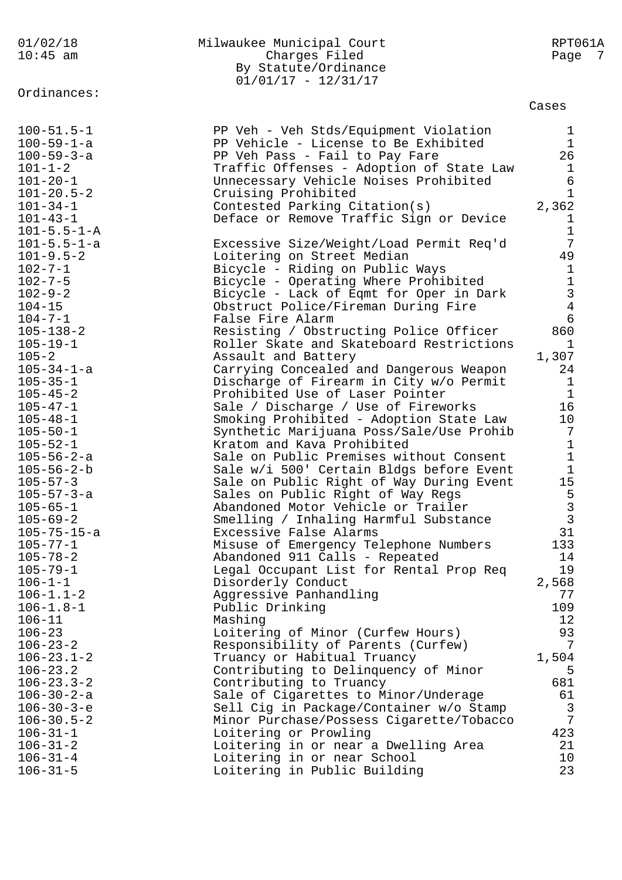| 01/02/18                         | Milwaukee Municipal Court                                                           | RPT061A              |
|----------------------------------|-------------------------------------------------------------------------------------|----------------------|
| $10:45$ am                       | Charges Filed                                                                       | Page 7               |
|                                  | By Statute/Ordinance                                                                |                      |
|                                  | $01/01/17 - 12/31/17$                                                               |                      |
| Ordinances:                      |                                                                                     | Cases                |
|                                  |                                                                                     |                      |
| $100 - 51.5 - 1$                 | PP Veh - Veh Stds/Equipment Violation                                               | $\mathbf{1}$         |
| $100 - 59 - 1 - a$               | PP Vehicle - License to Be Exhibited                                                | $\mathbf 1$          |
| $100 - 59 - 3 - a$               | PP Veh Pass - Fail to Pay Fare                                                      | 26                   |
| $101 - 1 - 2$                    | Traffic Offenses - Adoption of State Law                                            | $\mathbf 1$          |
| $101 - 20 - 1$                   | Unnecessary Vehicle Noises Prohibited                                               | 6                    |
| $101 - 20.5 - 2$                 | Cruising Prohibited                                                                 | $\mathbf{1}$         |
| $101 - 34 - 1$                   | Contested Parking Citation(s)                                                       | 2,362                |
| $101 - 43 - 1$                   | Deface or Remove Traffic Sign or Device                                             | $\mathbf{1}$         |
| $101 - 5.5 - 1 - A$              |                                                                                     | $\mathbf 1$          |
| $101 - 5.5 - 1 - a$              | Excessive Size/Weight/Load Permit Req'd                                             | 7                    |
| $101 - 9.5 - 2$                  | Loitering on Street Median                                                          | 49                   |
| $102 - 7 - 1$                    | Bicycle - Riding on Public Ways                                                     | $\mathbf{1}$         |
| $102 - 7 - 5$                    | Bicycle - Operating Where Prohibited                                                | $\mathbf 1$          |
| $102 - 9 - 2$                    | Bicycle - Lack of Eqmt for Oper in Dark                                             | $\mathsf 3$          |
| $104 - 15$                       | Obstruct Police/Fireman During Fire                                                 | $\overline{4}$       |
| $104 - 7 - 1$                    | False Fire Alarm                                                                    | 6                    |
| $105 - 138 - 2$                  | Resisting / Obstructing Police Officer                                              | 860                  |
| $105 - 19 - 1$                   | Roller Skate and Skateboard Restrictions                                            | $\mathbf{1}$         |
| $105 - 2$                        | Assault and Battery                                                                 | 1,307                |
| $105 - 34 - 1 - a$               | Carrying Concealed and Dangerous Weapon                                             | 24                   |
| $105 - 35 - 1$                   | Discharge of Firearm in City w/o Permit                                             | $\mathbf{1}$         |
| $105 - 45 - 2$                   | Prohibited Use of Laser Pointer                                                     | $\mathbf 1$<br>16    |
| $105 - 47 - 1$<br>$105 - 48 - 1$ | Sale / Discharge / Use of Fireworks                                                 |                      |
| $105 - 50 - 1$                   | Smoking Prohibited - Adoption State Law<br>Synthetic Marijuana Poss/Sale/Use Prohib | 10<br>$\overline{7}$ |
| $105 - 52 - 1$                   | Kratom and Kava Prohibited                                                          | $\mathbf 1$          |
| $105 - 56 - 2 - a$               | Sale on Public Premises without Consent                                             | $\mathbf{1}$         |
| $105 - 56 - 2 - b$               | Sale w/i 500' Certain Bldgs before Event                                            | $\mathbf{1}$         |
| $105 - 57 - 3$                   | Sale on Public Right of Way During Event                                            | 15                   |
| $105 - 57 - 3 - a$               | Sales on Public Right of Way Regs                                                   | 5                    |
| $105 - 65 - 1$                   | Abandoned Motor Vehicle or Trailer                                                  | $\mathsf{3}$         |
| $105 - 69 - 2$                   | Smelling / Inhaling Harmful Substance                                               | $\mathfrak{Z}$       |
| $105 - 75 - 15 - a$              | Excessive False Alarms                                                              | 31                   |
| $105 - 77 - 1$                   | Misuse of Emergency Telephone Numbers                                               | 133                  |
| $105 - 78 - 2$                   | Abandoned 911 Calls - Repeated                                                      | 14                   |
| $105 - 79 - 1$                   | Legal Occupant List for Rental Prop Req                                             | 19                   |
| $106 - 1 - 1$                    | Disorderly Conduct                                                                  | 2,568                |
| $106 - 1.1 - 2$                  | Aggressive Panhandling                                                              | 77                   |
| $106 - 1.8 - 1$                  | Public Drinking                                                                     | 109                  |
| $106 - 11$                       | Mashing                                                                             | 12                   |
| $106 - 23$                       | Loitering of Minor (Curfew Hours)                                                   | 93                   |
| $106 - 23 - 2$                   | Responsibility of Parents (Curfew)                                                  | 7                    |
| $106 - 23.1 - 2$                 | Truancy or Habitual Truancy                                                         | 1,504                |
| $106 - 23.2$                     | Contributing to Delinquency of Minor                                                | 5                    |
| $106 - 23.3 - 2$                 | Contributing to Truancy                                                             | 681                  |
| $106 - 30 - 2 - a$               | Sale of Cigarettes to Minor/Underage                                                | 61                   |
| $106 - 30 - 3 - e$               | Sell Cig in Package/Container w/o Stamp                                             | 3                    |
| $106 - 30.5 - 2$                 | Minor Purchase/Possess Cigarette/Tobacco                                            | 7                    |
| $106 - 31 - 1$                   | Loitering or Prowling                                                               | 423                  |
| $106 - 31 - 2$                   | Loitering in or near a Dwelling Area                                                | 21                   |
| $106 - 31 - 4$                   | Loitering in or near School                                                         | 10                   |
| $106 - 31 - 5$                   | Loitering in Public Building                                                        | 23                   |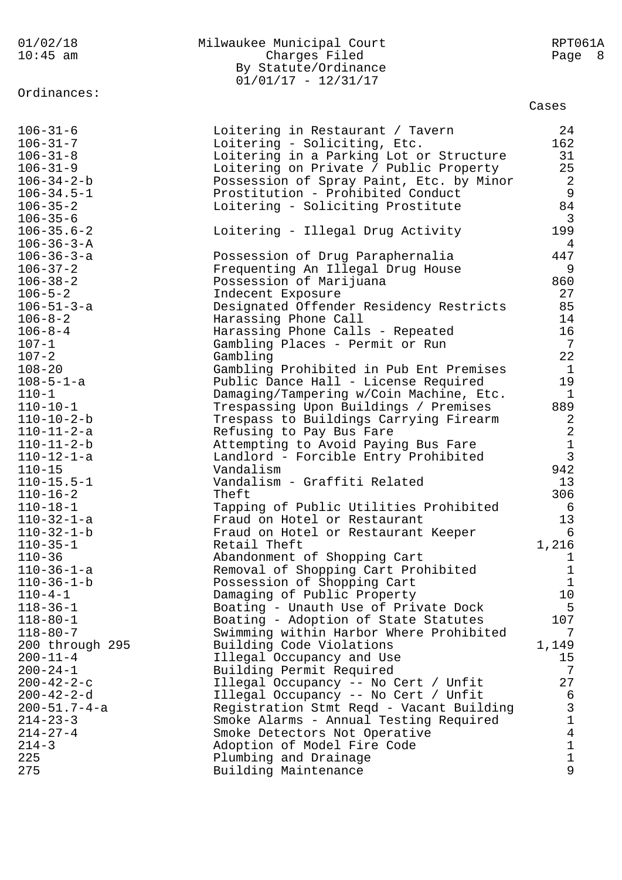| $10:45$ am           | Charges Filed                            | Page 8         |  |
|----------------------|------------------------------------------|----------------|--|
|                      | By Statute/Ordinance                     |                |  |
|                      | $01/01/17 - 12/31/17$                    |                |  |
| Ordinances:          |                                          |                |  |
|                      |                                          | Cases          |  |
| $106 - 31 - 6$       | Loitering in Restaurant / Tavern         | 24             |  |
| $106 - 31 - 7$       | Loitering - Soliciting, Etc.             | 162            |  |
| $106 - 31 - 8$       | Loitering in a Parking Lot or Structure  | 31             |  |
| $106 - 31 - 9$       | Loitering on Private / Public Property   | 25             |  |
| $106 - 34 - 2 - b$   | Possession of Spray Paint, Etc. by Minor | $\overline{a}$ |  |
| $106 - 34.5 - 1$     | Prostitution - Prohibited Conduct        | $\mathsf 9$    |  |
| $106 - 35 - 2$       | Loitering - Soliciting Prostitute        | 84             |  |
| $106 - 35 - 6$       |                                          | $\overline{3}$ |  |
| $106 - 35.6 - 2$     | Loitering - Illegal Drug Activity        | 199            |  |
| $106 - 36 - 3 - A$   |                                          | 4              |  |
| $106 - 36 - 3 - a$   | Possession of Drug Paraphernalia         | 447            |  |
| $106 - 37 - 2$       | Frequenting An Illegal Drug House        | 9              |  |
| $106 - 38 - 2$       | Possession of Marijuana                  | 860            |  |
| $106 - 5 - 2$        | Indecent Exposure                        | 27             |  |
| 106-51-3-a           | Designated Offender Residency Restricts  | 85             |  |
| $106 - 8 - 2$        | Harassing Phone Call                     | 14             |  |
| $106 - 8 - 4$        | Harassing Phone Calls - Repeated         | 16             |  |
| $107 - 1$            | Gambling Places - Permit or Run          | 7              |  |
| $107 - 2$            | Gambling                                 | 22             |  |
|                      |                                          | $\mathbf{1}$   |  |
| $108 - 20$           | Gambling Prohibited in Pub Ent Premises  |                |  |
| $108 - 5 - 1 - a$    | Public Dance Hall - License Required     | 19             |  |
| $110 - 1$            | Damaging/Tampering w/Coin Machine, Etc.  | 1              |  |
| $110 - 10 - 1$       | Trespassing Upon Buildings / Premises    | 889            |  |
| $110 - 10 - 2 - b$   | Trespass to Buildings Carrying Firearm   | 2              |  |
| 110-11-2-a           | Refusing to Pay Bus Fare                 | $\sqrt{2}$     |  |
| $110 - 11 - 2 - b$   | Attempting to Avoid Paying Bus Fare      | $\mathbf 1$    |  |
| $110 - 12 - 1 - a$   | Landlord - Forcible Entry Prohibited     | $\mathbf{3}$   |  |
| $110 - 15$           | Vandalism                                | 942            |  |
| $110 - 15.5 - 1$     | Vandalism - Graffiti Related             | 13             |  |
| $110 - 16 - 2$       | Theft                                    | 306            |  |
| $110 - 18 - 1$       | Tapping of Public Utilities Prohibited   | 6              |  |
| $110 - 32 - 1 - a$   | Fraud on Hotel or Restaurant             | 13             |  |
| $110 - 32 - 1 - b$   | Fraud on Hotel or Restaurant Keeper      | 6              |  |
| $110 - 35 - 1$       | Retail Theft                             | 1,216          |  |
| $110 - 36$           | Abandonment of Shopping Cart             | $\mathbf 1$    |  |
| $110 - 36 - 1 - a$   | Removal of Shopping Cart Prohibited      | $\mathbf 1$    |  |
| $110 - 36 - 1 - b$   | Possession of Shopping Cart              | $\mathbf{1}$   |  |
| $110 - 4 - 1$        | Damaging of Public Property              | 10             |  |
| $118 - 36 - 1$       | Boating - Unauth Use of Private Dock     | 5              |  |
| $118 - 80 - 1$       | Boating - Adoption of State Statutes     | 107            |  |
| $118 - 80 - 7$       | Swimming within Harbor Where Prohibited  | 7              |  |
| 200 through 295      | Building Code Violations                 | 1,149          |  |
| $200 - 11 - 4$       | Illegal Occupancy and Use                | 15             |  |
| $200 - 24 - 1$       | Building Permit Required                 | 7              |  |
| $200 - 42 - 2 - c$   | Illegal Occupancy -- No Cert / Unfit     | 27             |  |
| $200 - 42 - 2 - d$   | Illegal Occupancy -- No Cert / Unfit     | 6              |  |
| $200 - 51.7 - 4 - a$ | Registration Stmt Reqd - Vacant Building | $\mathsf 3$    |  |
| $214 - 23 - 3$       | Smoke Alarms - Annual Testing Required   | $1\,$          |  |
| $214 - 27 - 4$       | Smoke Detectors Not Operative            | $\overline{4}$ |  |
| $214 - 3$            | Adoption of Model Fire Code              | $\mathbf 1$    |  |
| 225                  | Plumbing and Drainage                    | $\mathbf 1$    |  |
| 275                  | Building Maintenance                     | 9              |  |
|                      |                                          |                |  |

01/02/18 Milwaukee Municipal Court RPT061A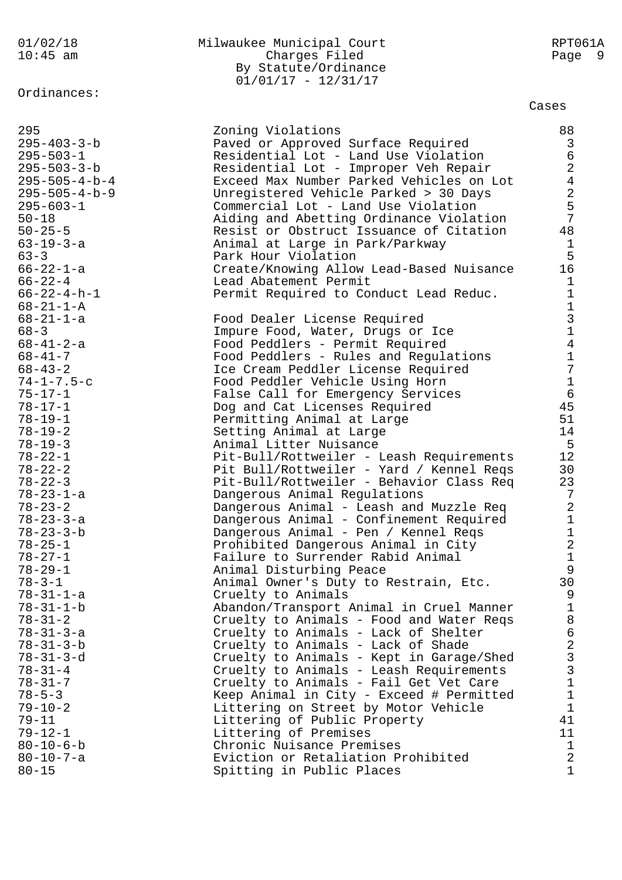# Ordinances:

## 01/02/18 Milwaukee Municipal Court RPT061A 10:45 am Charges Filed Page 9 By Statute/Ordinance 01/01/17 - 12/31/17

### Cases

| 295                     | Zoning Violations                        | 88              |
|-------------------------|------------------------------------------|-----------------|
| $295 - 403 - 3 - b$     | Paved or Approved Surface Required       | 3               |
| $295 - 503 - 1$         | Residential Lot - Land Use Violation     | 6               |
|                         |                                          |                 |
| $295 - 503 - 3 - b$     | Residential Lot - Improper Veh Repair    | $\overline{a}$  |
| $295 - 505 - 4 - b - 4$ | Exceed Max Number Parked Vehicles on Lot | $\overline{4}$  |
| $295 - 505 - 4 - b - 9$ | Unregistered Vehicle Parked > 30 Days    | $\overline{a}$  |
| $295 - 603 - 1$         | Commercial Lot - Land Use Violation      | 5               |
| $50 - 18$               | Aiding and Abetting Ordinance Violation  | 7               |
| $50 - 25 - 5$           | Resist or Obstruct Issuance of Citation  | 48              |
|                         |                                          |                 |
| $63 - 19 - 3 - a$       | Animal at Large in Park/Parkway          | $\mathbf{1}$    |
| $63 - 3$                | Park Hour Violation                      | 5               |
| $66 - 22 - 1 - a$       | Create/Knowing Allow Lead-Based Nuisance | 16              |
| $66 - 22 - 4$           | Lead Abatement Permit                    | $\mathbf{1}$    |
| $66 - 22 - 4 - h - 1$   | Permit Required to Conduct Lead Reduc.   | $\mathbf 1$     |
| $68 - 21 - 1 - A$       |                                          | $\mathbf 1$     |
| $68 - 21 - 1 - a$       | Food Dealer License Required             | $\mathfrak{Z}$  |
| $68 - 3$                | Impure Food, Water, Drugs or Ice         | $\mathbf 1$     |
| $68 - 41 - 2 - a$       | Food Peddlers - Permit Required          | $\overline{4}$  |
| $68 - 41 - 7$           |                                          | $\mathbf 1$     |
|                         | Food Peddlers - Rules and Regulations    |                 |
| $68 - 43 - 2$           | Ice Cream Peddler License Required       | 7               |
| $74 - 1 - 7.5 - c$      | Food Peddler Vehicle Using Horn          | $\mathbf 1$     |
| $75 - 17 - 1$           | False Call for Emergency Services        | $6\overline{6}$ |
| $78 - 17 - 1$           | Dog and Cat Licenses Required            | 45              |
| $78 - 19 - 1$           | Permitting Animal at Large               | 51              |
| $78 - 19 - 2$           | Setting Animal at Large                  | 14              |
| $78 - 19 - 3$           | Animal Litter Nuisance                   | 5               |
| $78 - 22 - 1$           | Pit-Bull/Rottweiler - Leash Requirements | 12 <sup>°</sup> |
| $78 - 22 - 2$           | Pit Bull/Rottweiler - Yard / Kennel Reqs | 30              |
| $78 - 22 - 3$           | Pit-Bull/Rottweiler - Behavior Class Req | 23              |
|                         |                                          |                 |
| $78 - 23 - 1 - a$       | Dangerous Animal Regulations             | 7               |
| $78 - 23 - 2$           | Dangerous Animal - Leash and Muzzle Req  | $\overline{a}$  |
| $78 - 23 - 3 - a$       | Dangerous Animal - Confinement Required  | $\mathbf 1$     |
| $78 - 23 - 3 - b$       | Dangerous Animal - Pen / Kennel Reqs     | $\mathbf 1$     |
| $78 - 25 - 1$           | Prohibited Dangerous Animal in City      | $\overline{a}$  |
| $78 - 27 - 1$           | Failure to Surrender Rabid Animal        | $\mathbf 1$     |
| $78 - 29 - 1$           | Animal Disturbing Peace                  | 9               |
| $78 - 3 - 1$            | Animal Owner's Duty to Restrain, Etc.    | 30              |
| $78 - 31 - 1 - a$       | Cruelty to Animals                       | 9               |
| $78 - 31 - 1 - b$       | Abandon/Transport Animal in Cruel Manner | $\mathbf 1$     |
| $78 - 31 - 2$           | Cruelty to Animals - Food and Water Reqs | 8               |
| $78 - 31 - 3 - a$       |                                          | 6               |
|                         | Cruelty to Animals - Lack of Shelter     | $\overline{2}$  |
| $78 - 31 - 3 - b$       | Cruelty to Animals - Lack of Shade       |                 |
| $78 - 31 - 3 - d$       | Cruelty to Animals - Kept in Garage/Shed | $\mathfrak{Z}$  |
| $78 - 31 - 4$           | Cruelty to Animals - Leash Requirements  | $\mathsf{3}$    |
| $78 - 31 - 7$           | Cruelty to Animals - Fail Get Vet Care   | $\mathbf 1$     |
| $78 - 5 - 3$            | Keep Animal in City - Exceed # Permitted | $\mathbf 1$     |
| $79 - 10 - 2$           | Littering on Street by Motor Vehicle     | $\mathbf{1}$    |
| $79 - 11$               | Littering of Public Property             | 41              |
| $79 - 12 - 1$           | Littering of Premises                    | 11              |
| $80 - 10 - 6 - b$       | Chronic Nuisance Premises                | $\mathbf{1}$    |
| $80 - 10 - 7 - a$       | Eviction or Retaliation Prohibited       | $\overline{a}$  |
| $80 - 15$               | Spitting in Public Places                | $\mathbf{1}$    |
|                         |                                          |                 |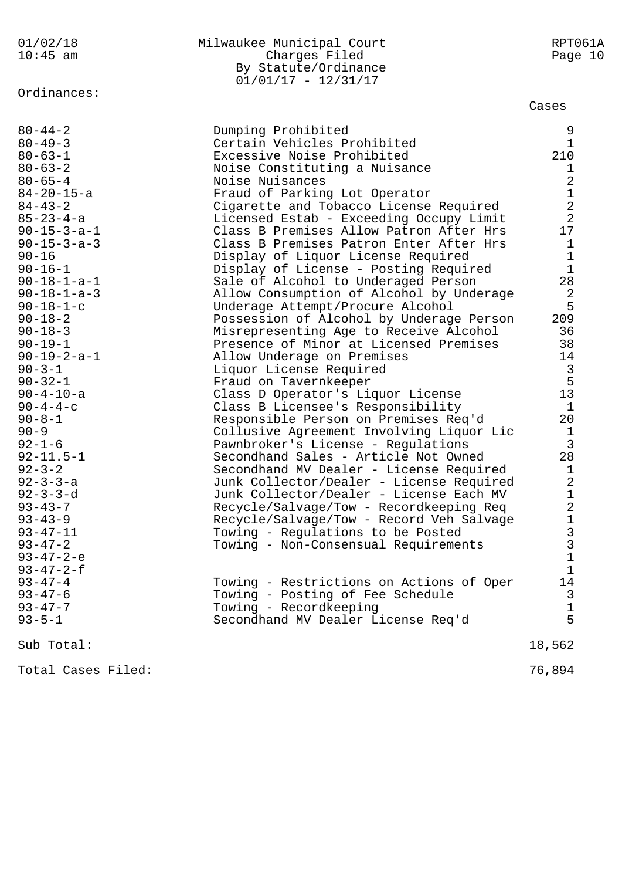# Ordinances:

| 01/02/18   | Milwaukee Municipal Court | RPT061A |
|------------|---------------------------|---------|
| $10:45$ am | Charges Filed             | Page 10 |
|            | By Statute/Ordinance      |         |
|            | $01/01/17 - 12/31/17$     |         |

### Cases

| $80 - 44 - 2$<br>$80 - 49 - 3$<br>$80 - 63 - 1$<br>$80 - 63 - 2$<br>$80 - 65 - 4$<br>$84 - 20 - 15 - a$<br>$84 - 43 - 2$<br>$85 - 23 - 4 - a$<br>$90 - 15 - 3 - a - 1$<br>$90 - 15 - 3 - a - 3$<br>$90 - 16$<br>$90 - 16 - 1$<br>$90 - 18 - 1 - a - 1$<br>$90 - 18 - 1 - a - 3$<br>$90 - 18 - 1 - c$<br>$90 - 18 - 2$<br>$90 - 18 - 3$<br>$90 - 19 - 1$<br>$90 - 19 - 2 - a - 1$<br>$90 - 3 - 1$<br>$90 - 32 - 1$<br>$90 - 4 - 10 - a$<br>$90 - 4 - 4 - c$<br>$90 - 8 - 1$<br>$90 - 9$<br>$92 - 1 - 6$<br>$92 - 11.5 - 1$<br>$92 - 3 - 2$<br>$92 - 3 - 3 - a$<br>$92 - 3 - 3 - d$<br>$93 - 43 - 7$<br>$93 - 43 - 9$<br>$93 - 47 - 11$<br>$93 - 47 - 2$ | Dumping Prohibited<br>Certain Vehicles Prohibited<br>Excessive Noise Prohibited<br>Noise Constituting a Nuisance<br>Noise Nuisances<br>Fraud of Parking Lot Operator<br>Cigarette and Tobacco License Required<br>Licensed Estab - Exceeding Occupy Limit<br>Class B Premises Allow Patron After Hrs<br>Class B Premises Patron Enter After Hrs<br>Display of Liquor License Required<br>Display of License - Posting Required<br>Sale of Alcohol to Underaged Person<br>Allow Consumption of Alcohol by Underage<br>Underage Attempt/Procure Alcohol<br>Possession of Alcohol by Underage Person<br>Misrepresenting Age to Receive Alcohol<br>Presence of Minor at Licensed Premises<br>Allow Underage on Premises<br>Liquor License Required<br>Fraud on Tavernkeeper<br>Class D Operator's Liquor License<br>Class B Licensee's Responsibility<br>Responsible Person on Premises Req'd<br>Collusive Agreement Involving Liquor Lic<br>Pawnbroker's License - Regulations<br>Secondhand Sales - Article Not Owned<br>Secondhand MV Dealer - License Required<br>Junk Collector/Dealer - License Required<br>Junk Collector/Dealer - License Each MV<br>Recycle/Salvage/Tow - Recordkeeping Req<br>Recycle/Salvage/Tow - Record Veh Salvage<br>Towing - Regulations to be Posted<br>Towing - Non-Consensual Requirements | 9<br>$\mathbf{1}$<br>210<br>1<br>$\overline{2}$<br>$\mathbf{1}$<br>$\overline{a}$<br>2<br>17<br>$\mathbf{1}$<br>$\mathbf{1}$<br>$\mathbf{1}$<br>28<br>2<br>5<br>209<br>36<br>38<br>14<br>3<br>5<br>13<br>$\mathbf{1}$<br>20<br>1<br>$\mathfrak{Z}$<br>28<br>$\mathbf{1}$<br>$\overline{2}$<br>$\mathbf{1}$<br>$\overline{a}$<br>$1\,$<br>$\mathbf{3}$<br>$\overline{3}$ |
|--------------------------------------------------------------------------------------------------------------------------------------------------------------------------------------------------------------------------------------------------------------------------------------------------------------------------------------------------------------------------------------------------------------------------------------------------------------------------------------------------------------------------------------------------------------------------------------------------------------------------------------------------------|---------------------------------------------------------------------------------------------------------------------------------------------------------------------------------------------------------------------------------------------------------------------------------------------------------------------------------------------------------------------------------------------------------------------------------------------------------------------------------------------------------------------------------------------------------------------------------------------------------------------------------------------------------------------------------------------------------------------------------------------------------------------------------------------------------------------------------------------------------------------------------------------------------------------------------------------------------------------------------------------------------------------------------------------------------------------------------------------------------------------------------------------------------------------------------------------------------------------------------------------------------------------------------------------------------------------------|-------------------------------------------------------------------------------------------------------------------------------------------------------------------------------------------------------------------------------------------------------------------------------------------------------------------------------------------------------------------------|
| $93 - 47 - 2 - e$<br>$93 - 47 - 2 - f$                                                                                                                                                                                                                                                                                                                                                                                                                                                                                                                                                                                                                 |                                                                                                                                                                                                                                                                                                                                                                                                                                                                                                                                                                                                                                                                                                                                                                                                                                                                                                                                                                                                                                                                                                                                                                                                                                                                                                                           | $\mathbf{1}$<br>$\mathbf{1}$                                                                                                                                                                                                                                                                                                                                            |
| $93 - 47 - 4$<br>$93 - 47 - 6$<br>$93 - 47 - 7$<br>$93 - 5 - 1$                                                                                                                                                                                                                                                                                                                                                                                                                                                                                                                                                                                        | Towing - Restrictions on Actions of Oper<br>Towing - Posting of Fee Schedule<br>Towing - Recordkeeping<br>Secondhand MV Dealer License Req'd                                                                                                                                                                                                                                                                                                                                                                                                                                                                                                                                                                                                                                                                                                                                                                                                                                                                                                                                                                                                                                                                                                                                                                              | 14<br>3<br>1<br>5                                                                                                                                                                                                                                                                                                                                                       |
| Sub Total:                                                                                                                                                                                                                                                                                                                                                                                                                                                                                                                                                                                                                                             |                                                                                                                                                                                                                                                                                                                                                                                                                                                                                                                                                                                                                                                                                                                                                                                                                                                                                                                                                                                                                                                                                                                                                                                                                                                                                                                           | 18,562                                                                                                                                                                                                                                                                                                                                                                  |
| Total Cases Filed:                                                                                                                                                                                                                                                                                                                                                                                                                                                                                                                                                                                                                                     |                                                                                                                                                                                                                                                                                                                                                                                                                                                                                                                                                                                                                                                                                                                                                                                                                                                                                                                                                                                                                                                                                                                                                                                                                                                                                                                           | 76,894                                                                                                                                                                                                                                                                                                                                                                  |